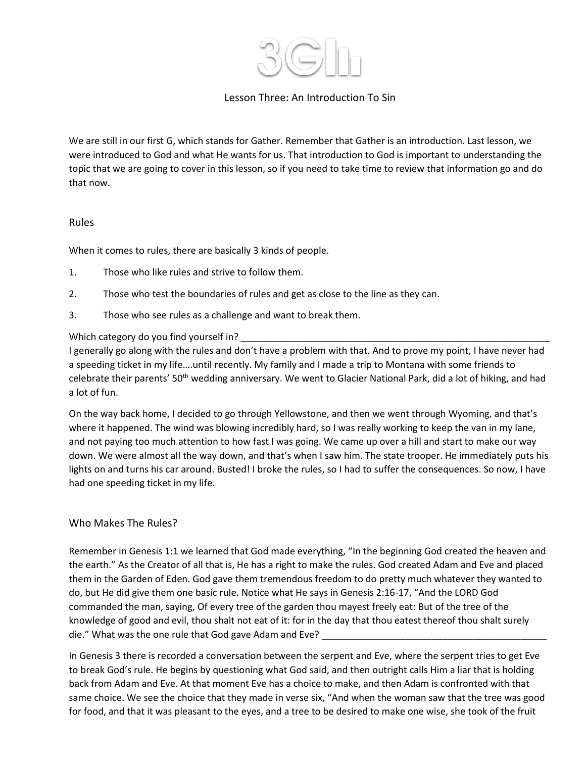

# Lesson Three: An Introduction To Sin

We are still in our first G, which stands for Gather. Remember that Gather is an introduction. Last lesson, we were introduced to God and what He wants for us. That introduction to God is important to understanding the topic that we are going to cover in this lesson, so if you need to take time to review that information go and do that now.

## Rules

When it comes to rules, there are basically 3 kinds of people.

- 1. Those who like rules and strive to follow them.
- 2. Those who test the boundaries of rules and get as close to the line as they can.
- 3. Those who see rules as a challenge and want to break them.

## Which category do you find yourself in?

I generally go along with the rules and don't have a problem with that. And to prove my point, I have never had a speeding ticket in my life….until recently. My family and I made a trip to Montana with some friends to celebrate their parents' 50<sup>th</sup> wedding anniversary. We went to Glacier National Park, did a lot of hiking, and had a lot of fun.

On the way back home, I decided to go through Yellowstone, and then we went through Wyoming, and that's where it happened. The wind was blowing incredibly hard, so I was really working to keep the van in my lane, and not paying too much attention to how fast I was going. We came up over a hill and start to make our way down. We were almost all the way down, and that's when I saw him. The state trooper. He immediately puts his lights on and turns his car around. Busted! I broke the rules, so I had to suffer the consequences. So now, I have had one speeding ticket in my life.

## Who Makes The Rules?

Remember in Genesis 1:1 we learned that God made everything, "In the beginning God created the heaven and the earth." As the Creator of all that is, He has a right to make the rules. God created Adam and Eve and placed them in the Garden of Eden. God gave them tremendous freedom to do pretty much whatever they wanted to do, but He did give them one basic rule. Notice what He says in Genesis 2:16-17, "And the LORD God commanded the man, saying, Of every tree of the garden thou mayest freely eat: But of the tree of the knowledge of good and evil, thou shalt not eat of it: for in the day that thou eatest thereof thou shalt surely die." What was the one rule that God gave Adam and Eve?

In Genesis 3 there is recorded a conversation between the serpent and Eve, where the serpent tries to get Eve to break God's rule. He begins by questioning what God said, and then outright calls Him a liar that is holding back from Adam and Eve. At that moment Eve has a choice to make, and then Adam is confronted with that same choice. We see the choice that they made in verse six, "And when the woman saw that the tree was good for food, and that it was pleasant to the eyes, and a tree to be desired to make one wise, she took of the fruit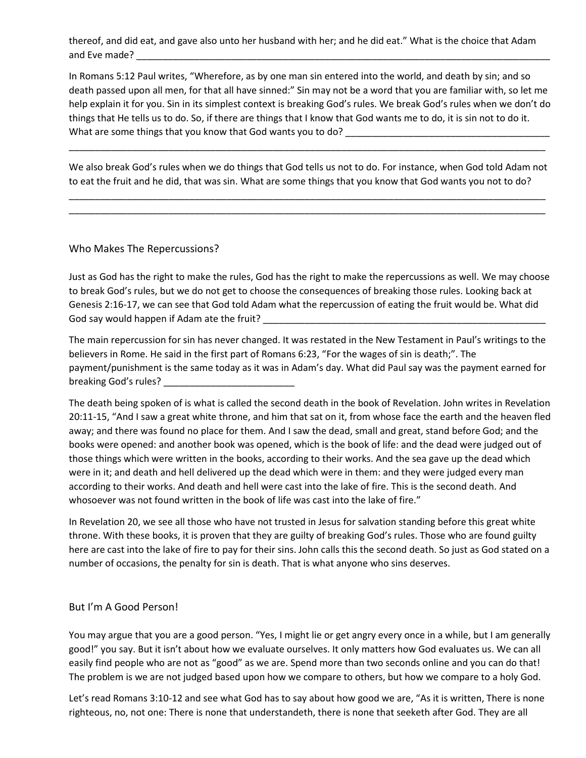thereof, and did eat, and gave also unto her husband with her; and he did eat." What is the choice that Adam and Eve made? \_\_\_\_\_\_\_\_\_\_\_\_\_\_\_\_\_\_\_\_\_\_\_\_\_\_\_\_\_\_\_\_\_\_\_\_\_\_\_\_\_\_\_\_\_\_\_\_\_\_\_\_\_\_\_\_\_\_\_\_\_\_\_\_\_\_\_\_\_\_\_\_\_\_\_\_\_\_\_

In Romans 5:12 Paul writes, "Wherefore, as by one man sin entered into the world, and death by sin; and so death passed upon all men, for that all have sinned:" Sin may not be a word that you are familiar with, so let me help explain it for you. Sin in its simplest context is breaking God's rules. We break God's rules when we don't do things that He tells us to do. So, if there are things that I know that God wants me to do, it is sin not to do it. What are some things that you know that God wants you to do?

We also break God's rules when we do things that God tells us not to do. For instance, when God told Adam not to eat the fruit and he did, that was sin. What are some things that you know that God wants you not to do?

\_\_\_\_\_\_\_\_\_\_\_\_\_\_\_\_\_\_\_\_\_\_\_\_\_\_\_\_\_\_\_\_\_\_\_\_\_\_\_\_\_\_\_\_\_\_\_\_\_\_\_\_\_\_\_\_\_\_\_\_\_\_\_\_\_\_\_\_\_\_\_\_\_\_\_\_\_\_\_\_\_\_\_\_\_\_\_\_\_\_\_ \_\_\_\_\_\_\_\_\_\_\_\_\_\_\_\_\_\_\_\_\_\_\_\_\_\_\_\_\_\_\_\_\_\_\_\_\_\_\_\_\_\_\_\_\_\_\_\_\_\_\_\_\_\_\_\_\_\_\_\_\_\_\_\_\_\_\_\_\_\_\_\_\_\_\_\_\_\_\_\_\_\_\_\_\_\_\_\_\_\_\_

\_\_\_\_\_\_\_\_\_\_\_\_\_\_\_\_\_\_\_\_\_\_\_\_\_\_\_\_\_\_\_\_\_\_\_\_\_\_\_\_\_\_\_\_\_\_\_\_\_\_\_\_\_\_\_\_\_\_\_\_\_\_\_\_\_\_\_\_\_\_\_\_\_\_\_\_\_\_\_\_\_\_\_\_\_\_\_\_\_\_\_

#### Who Makes The Repercussions?

Just as God has the right to make the rules, God has the right to make the repercussions as well. We may choose to break God's rules, but we do not get to choose the consequences of breaking those rules. Looking back at Genesis 2:16-17, we can see that God told Adam what the repercussion of eating the fruit would be. What did God say would happen if Adam ate the fruit? \_\_\_\_\_\_\_\_\_\_\_\_\_\_\_\_\_\_\_\_\_\_\_\_\_\_\_\_\_\_\_\_\_\_\_\_\_\_\_\_\_\_\_\_\_\_\_\_\_\_\_\_\_\_

The main repercussion for sin has never changed. It was restated in the New Testament in Paul's writings to the believers in Rome. He said in the first part of Romans 6:23, "For the wages of sin is death;". The payment/punishment is the same today as it was in Adam's day. What did Paul say was the payment earned for breaking God's rules?

The death being spoken of is what is called the second death in the book of Revelation. John writes in Revelation 20:11-15, "And I saw a great white throne, and him that sat on it, from whose face the earth and the heaven fled away; and there was found no place for them. And I saw the dead, small and great, stand before God; and the books were opened: and another book was opened, which is the book of life: and the dead were judged out of those things which were written in the books, according to their works. And the sea gave up the dead which were in it; and death and hell delivered up the dead which were in them: and they were judged every man according to their works. And death and hell were cast into the lake of fire. This is the second death. And whosoever was not found written in the book of life was cast into the lake of fire."

In Revelation 20, we see all those who have not trusted in Jesus for salvation standing before this great white throne. With these books, it is proven that they are guilty of breaking God's rules. Those who are found guilty here are cast into the lake of fire to pay for their sins. John calls this the second death. So just as God stated on a number of occasions, the penalty for sin is death. That is what anyone who sins deserves.

## But I'm A Good Person!

You may argue that you are a good person. "Yes, I might lie or get angry every once in a while, but I am generally good!" you say. But it isn't about how we evaluate ourselves. It only matters how God evaluates us. We can all easily find people who are not as "good" as we are. Spend more than two seconds online and you can do that! The problem is we are not judged based upon how we compare to others, but how we compare to a holy God.

Let's read Romans 3:10-12 and see what God has to say about how good we are, "As it is written, There is none righteous, no, not one: There is none that understandeth, there is none that seeketh after God. They are all